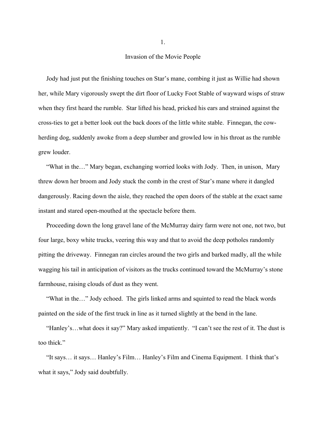## Invasion of the Movie People

 Jody had just put the finishing touches on Star's mane, combing it just as Willie had shown her, while Mary vigorously swept the dirt floor of Lucky Foot Stable of wayward wisps of straw when they first heard the rumble. Star lifted his head, pricked his ears and strained against the cross-ties to get a better look out the back doors of the little white stable. Finnegan, the cowherding dog, suddenly awoke from a deep slumber and growled low in his throat as the rumble grew louder.

 "What in the…" Mary began, exchanging worried looks with Jody. Then, in unison, Mary threw down her broom and Jody stuck the comb in the crest of Star's mane where it dangled dangerously. Racing down the aisle, they reached the open doors of the stable at the exact same instant and stared open-mouthed at the spectacle before them.

 Proceeding down the long gravel lane of the McMurray dairy farm were not one, not two, but four large, boxy white trucks, veering this way and that to avoid the deep potholes randomly pitting the driveway. Finnegan ran circles around the two girls and barked madly, all the while wagging his tail in anticipation of visitors as the trucks continued toward the McMurray's stone farmhouse, raising clouds of dust as they went.

 "What in the…" Jody echoed. The girls linked arms and squinted to read the black words painted on the side of the first truck in line as it turned slightly at the bend in the lane.

 "Hanley's…what does it say?" Mary asked impatiently. "I can't see the rest of it. The dust is too thick."

 "It says… it says… Hanley's Film… Hanley's Film and Cinema Equipment. I think that's what it says," Jody said doubtfully.

1.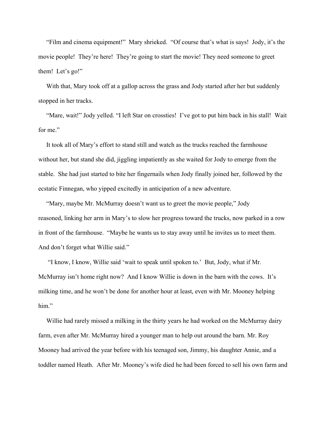"Film and cinema equipment!" Mary shrieked. "Of course that's what is says! Jody, it's the movie people! They're here! They're going to start the movie! They need someone to greet them! Let's go!"

 With that, Mary took off at a gallop across the grass and Jody started after her but suddenly stopped in her tracks.

 "Mare, wait!" Jody yelled. "I left Star on crossties! I've got to put him back in his stall! Wait for me."

 It took all of Mary's effort to stand still and watch as the trucks reached the farmhouse without her, but stand she did, jiggling impatiently as she waited for Jody to emerge from the stable. She had just started to bite her fingernails when Jody finally joined her, followed by the ecstatic Finnegan, who yipped excitedly in anticipation of a new adventure.

 "Mary, maybe Mr. McMurray doesn't want us to greet the movie people," Jody reasoned, linking her arm in Mary's to slow her progress toward the trucks, now parked in a row in front of the farmhouse. "Maybe he wants us to stay away until he invites us to meet them. And don't forget what Willie said."

 "I know, I know, Willie said 'wait to speak until spoken to.' But, Jody, what if Mr. McMurray isn't home right now? And I know Willie is down in the barn with the cows. It's milking time, and he won't be done for another hour at least, even with Mr. Mooney helping him."

 Willie had rarely missed a milking in the thirty years he had worked on the McMurray dairy farm, even after Mr. McMurray hired a younger man to help out around the barn. Mr. Roy Mooney had arrived the year before with his teenaged son, Jimmy, his daughter Annie, and a toddler named Heath. After Mr. Mooney's wife died he had been forced to sell his own farm and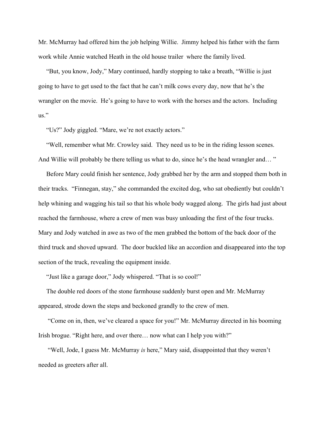Mr. McMurray had offered him the job helping Willie. Jimmy helped his father with the farm work while Annie watched Heath in the old house trailer where the family lived.

 "But, you know, Jody," Mary continued, hardly stopping to take a breath, "Willie is just going to have to get used to the fact that he can't milk cows every day, now that he's the wrangler on the movie. He's going to have to work with the horses and the actors. Including us."

"Us?" Jody giggled. "Mare, we're not exactly actors."

"Well, remember what Mr. Crowley said. They need us to be in the riding lesson scenes. And Willie will probably be there telling us what to do, since he's the head wrangler and… "

 Before Mary could finish her sentence, Jody grabbed her by the arm and stopped them both in their tracks. "Finnegan, stay," she commanded the excited dog, who sat obediently but couldn't help whining and wagging his tail so that his whole body wagged along. The girls had just about reached the farmhouse, where a crew of men was busy unloading the first of the four trucks. Mary and Jody watched in awe as two of the men grabbed the bottom of the back door of the third truck and shoved upward. The door buckled like an accordion and disappeared into the top section of the truck, revealing the equipment inside.

"Just like a garage door," Jody whispered. "That is so cool!"

 The double red doors of the stone farmhouse suddenly burst open and Mr. McMurray appeared, strode down the steps and beckoned grandly to the crew of men.

 "Come on in, then, we've cleared a space for you!" Mr. McMurray directed in his booming Irish brogue. "Right here, and over there… now what can I help you with?"

"Well, Jode, I guess Mr. McMurray is here," Mary said, disappointed that they weren't needed as greeters after all.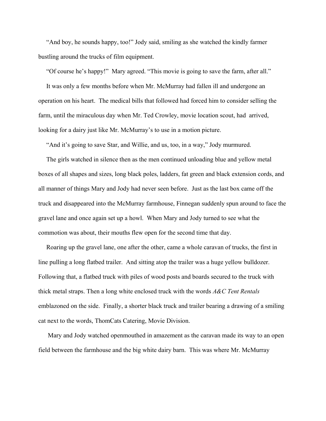"And boy, he sounds happy, too!" Jody said, smiling as she watched the kindly farmer bustling around the trucks of film equipment.

"Of course he's happy!" Mary agreed. "This movie is going to save the farm, after all."

 It was only a few months before when Mr. McMurray had fallen ill and undergone an operation on his heart. The medical bills that followed had forced him to consider selling the farm, until the miraculous day when Mr. Ted Crowley, movie location scout, had arrived, looking for a dairy just like Mr. McMurray's to use in a motion picture.

"And it's going to save Star, and Willie, and us, too, in a way," Jody murmured.

 The girls watched in silence then as the men continued unloading blue and yellow metal boxes of all shapes and sizes, long black poles, ladders, fat green and black extension cords, and all manner of things Mary and Jody had never seen before. Just as the last box came off the truck and disappeared into the McMurray farmhouse, Finnegan suddenly spun around to face the gravel lane and once again set up a howl. When Mary and Jody turned to see what the commotion was about, their mouths flew open for the second time that day.

 Roaring up the gravel lane, one after the other, came a whole caravan of trucks, the first in line pulling a long flatbed trailer. And sitting atop the trailer was a huge yellow bulldozer. Following that, a flatbed truck with piles of wood posts and boards secured to the truck with thick metal straps. Then a long white enclosed truck with the words  $A\&C$  Tent Rentals emblazoned on the side. Finally, a shorter black truck and trailer bearing a drawing of a smiling cat next to the words, ThomCats Catering, Movie Division.

 Mary and Jody watched openmouthed in amazement as the caravan made its way to an open field between the farmhouse and the big white dairy barn. This was where Mr. McMurray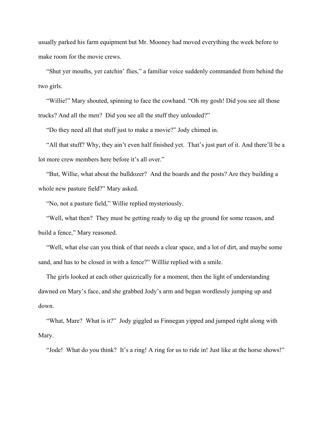usually parked his farm equipment but Mr. Mooney had moved everything the week before to make room for the movie crews.

 "Shut yer mouths, yer catchin' flies," a familiar voice suddenly commanded from behind the two girls.

 "Willie!" Mary shouted, spinning to face the cowhand. "Oh my gosh! Did you see all those trucks? And all the men? Did you see all the stuff they unloaded?"

"Do they need all that stuff just to make a movie?" Jody chimed in.

 "All that stuff? Why, they ain't even half finished yet. That's just part of it. And there'll be a lot more crew members here before it's all over."

 "But, Willie, what about the bulldozer? And the boards and the posts? Are they building a whole new pasture field?" Mary asked.

"No, not a pasture field," Willie replied mysteriously.

 "Well, what then? They must be getting ready to dig up the ground for some reason, and build a fence," Mary reasoned.

 "Well, what else can you think of that needs a clear space, and a lot of dirt, and maybe some sand, and has to be closed in with a fence?" Willlie replied with a smile.

 The girls looked at each other quizzically for a moment, then the light of understanding dawned on Mary's face, and she grabbed Jody's arm and began wordlessly jumping up and down.

 "What, Mare? What is it?" Jody giggled as Finnegan yipped and jumped right along with Mary.

"Jode! What do you think? It's a ring! A ring for us to ride in! Just like at the horse shows!"